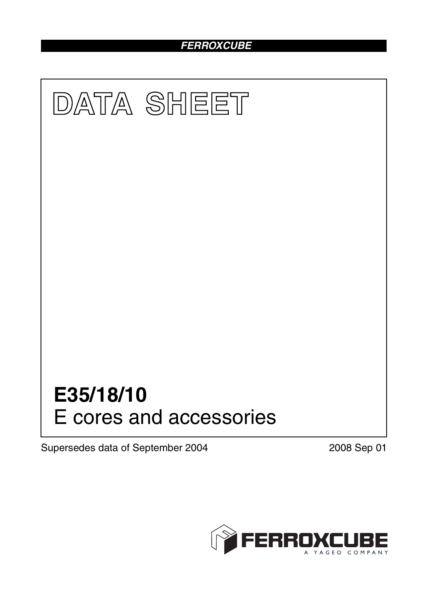# *FERROXCUBE*



Supersedes data of September 2004 2008 Sep 01

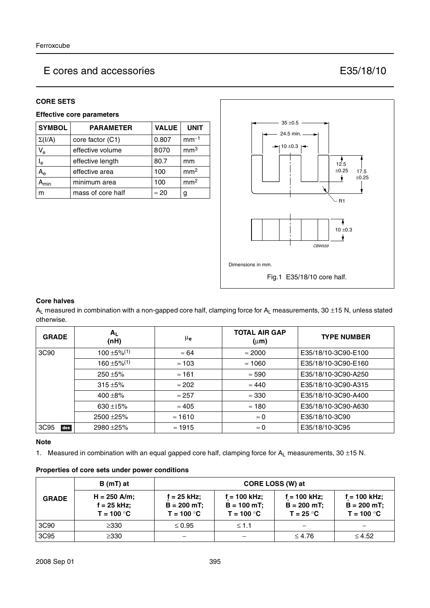# E cores and accessories E35/18/10

## **CORE SETS**

# **Effective core parameters**

| <b>SYMBOL</b>           | <b>PARAMETER</b>  | <b>VALUE</b> | <b>UNIT</b>     |
|-------------------------|-------------------|--------------|-----------------|
| $\Sigma(I/A)$           | core factor (C1)  | 0.807        | $mm-1$          |
| $V_{\rm e}$             | effective volume  | 8070         | mm <sup>3</sup> |
| $\mathsf{I}_\mathsf{e}$ | effective length  | 80.7         | mm              |
| $A_{e}$                 | effective area    | 100          | mm <sup>2</sup> |
| <b>\</b> min            | minimum area      | 100          | mm <sup>2</sup> |
| m                       | mass of core half | $\approx 20$ | g               |



### **Core halves**

 $A_L$  measured in combination with a non-gapped core half, clamping force for  $A_L$  measurements, 30 ±15 N, unless stated otherwise.

| <b>GRADE</b> | $A_L$<br>(nH)                | $\mu_{\bf e}$  | <b>TOTAL AIR GAP</b><br>$(\mu m)$ | <b>TYPE NUMBER</b>  |
|--------------|------------------------------|----------------|-----------------------------------|---------------------|
| 3C90         | 100 $\pm$ 5% <sup>(1)</sup>  | $\approx 64$   | $\approx 2000$                    | E35/18/10-3C90-E100 |
|              | $160 \pm 5\%$ <sup>(1)</sup> | $\approx$ 103  | $\approx 1060$                    | E35/18/10-3C90-E160 |
|              | $250 + 5%$                   | $\approx$ 161  | $\approx 590$                     | E35/18/10-3C90-A250 |
|              | $315 + 5%$                   | $\approx 202$  | $\approx 440$                     | E35/18/10-3C90-A315 |
|              | 400 $\pm$ 8%                 | $\approx$ 257  | $\approx 330$                     | E35/18/10-3C90-A400 |
|              | 630 $\pm$ 15%                | $\approx 405$  | $\approx$ 180                     | E35/18/10-3C90-A630 |
|              | $2500 + 25%$                 | $\approx$ 1610 | $\approx 0$                       | E35/18/10-3C90      |
| 3C95<br>des  | 2980 ± 25%                   | $\approx$ 1915 | $\approx 0$                       | E35/18/10-3C95      |

#### **Note**

1. Measured in combination with an equal gapped core half, clamping force for  $A_L$  measurements, 30 ±15 N.

|              | B (mT) at                                     | CORE LOSS (W) at                             |                                                  |                                                |                                                 |
|--------------|-----------------------------------------------|----------------------------------------------|--------------------------------------------------|------------------------------------------------|-------------------------------------------------|
| <b>GRADE</b> | $H = 250$ A/m;<br>f = 25 kHz;<br>$T = 100 °C$ | f = 25 kHz;<br>$B = 200$ mT;<br>$T = 100 °C$ | $f = 100$ kHz;<br>$B = 100 mT$ ;<br>$T = 100 °C$ | $f = 100$ kHz;<br>$B = 200$ mT;<br>$T = 25 °C$ | $f = 100$ kHz;<br>$B = 200$ mT;<br>$T = 100 °C$ |
| 3C90         | $\geq$ 330                                    | $\leq 0.95$                                  | $\leq 1.1$                                       |                                                |                                                 |
| 3C95         | ≥330                                          |                                              |                                                  | $\leq 4.76$                                    | $\leq 4.52$                                     |

# **Properties of core sets under power conditions**